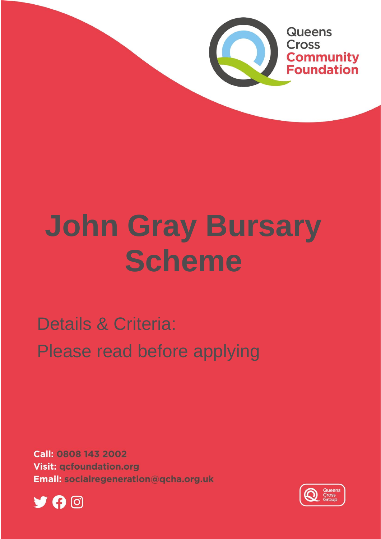

# **John Gray Bursary Scheme**

Details & Criteria: Please read before applying

**Call: 0808 143 2002 Visit: gcfoundation.org** Email: socialregeneration@gcha.org.uk



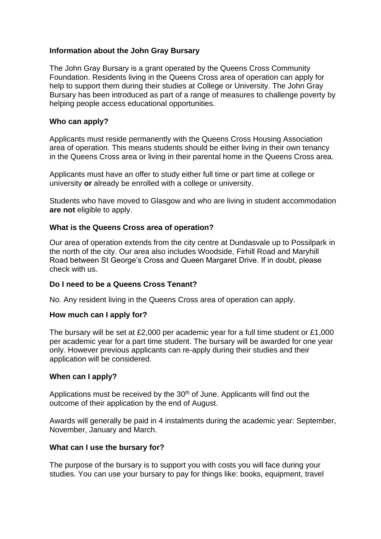### **Information about the John Gray Bursary**

The John Gray Bursary is a grant operated by the Queens Cross Community Foundation. Residents living in the Queens Cross area of operation can apply for help to support them during their studies at College or University. The John Gray Bursary has been introduced as part of a range of measures to challenge poverty by helping people access educational opportunities.

#### **Who can apply?**

Applicants must reside permanently with the Queens Cross Housing Association area of operation. This means students should be either living in their own tenancy in the Queens Cross area or living in their parental home in the Queens Cross area.

Applicants must have an offer to study either full time or part time at college or university **or** already be enrolled with a college or university.

Students who have moved to Glasgow and who are living in student accommodation **are not** eligible to apply.

#### **What is the Queens Cross area of operation?**

Our area of operation extends from the city centre at Dundasvale up to Possilpark in the north of the city. Our area also includes Woodside, Firhill Road and Maryhill Road between St George's Cross and Queen Margaret Drive. If in doubt, please check with us.

#### **Do I need to be a Queens Cross Tenant?**

No. Any resident living in the Queens Cross area of operation can apply.

# **How much can I apply for?**

The bursary will be set at £2,000 per academic year for a full time student or £1,000 per academic year for a part time student. The bursary will be awarded for one year only. However previous applicants can re-apply during their studies and their application will be considered.

#### **When can I apply?**

Applications must be received by the  $30<sup>th</sup>$  of June. Applicants will find out the outcome of their application by the end of August.

Awards will generally be paid in 4 instalments during the academic year: September, November, January and March.

#### **What can I use the bursary for?**

The purpose of the bursary is to support you with costs you will face during your studies. You can use your bursary to pay for things like: books, equipment, travel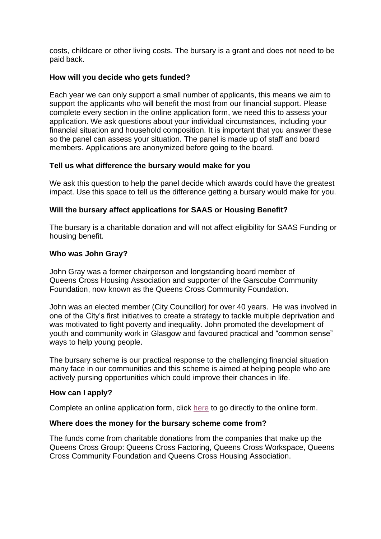costs, childcare or other living costs. The bursary is a grant and does not need to be paid back.

#### **How will you decide who gets funded?**

Each year we can only support a small number of applicants, this means we aim to support the applicants who will benefit the most from our financial support. Please complete every section in the online application form, we need this to assess your application. We ask questions about your individual circumstances, including your financial situation and household composition. It is important that you answer these so the panel can assess your situation. The panel is made up of staff and board members. Applications are anonymized before going to the board.

#### **Tell us what difference the bursary would make for you**

We ask this question to help the panel decide which awards could have the greatest impact. Use this space to tell us the difference getting a bursary would make for you.

#### **Will the bursary affect applications for SAAS or Housing Benefit?**

The bursary is a charitable donation and will not affect eligibility for SAAS Funding or housing benefit.

#### **Who was John Gray?**

John Gray was a former chairperson and longstanding board member of Queens Cross Housing Association and supporter of the Garscube Community Foundation, now known as the Queens Cross Community Foundation.

John was an elected member (City Councillor) for over 40 years. He was involved in one of the City's first initiatives to create a strategy to tackle multiple deprivation and was motivated to fight poverty and inequality. John promoted the development of youth and community work in Glasgow and favoured practical and "common sense" ways to help young people.

The bursary scheme is our practical response to the challenging financial situation many face in our communities and this scheme is aimed at helping people who are actively pursing opportunities which could improve their chances in life.

#### **How can I apply?**

Complete an online application form, click [here](https://forms.office.com/Pages/ResponsePage.aspx?id=53OsN1vNykCo9UNGgKrSt5OUnDT06eJMg5o3Egvush1UMFJLQ1pYMU5PUVhCOEJINVlLNUlSTVVWVi4u) to go directly to the online form.

#### **Where does the money for the bursary scheme come from?**

The funds come from charitable donations from the companies that make up the Queens Cross Group: Queens Cross Factoring, Queens Cross Workspace, Queens Cross Community Foundation and Queens Cross Housing Association.